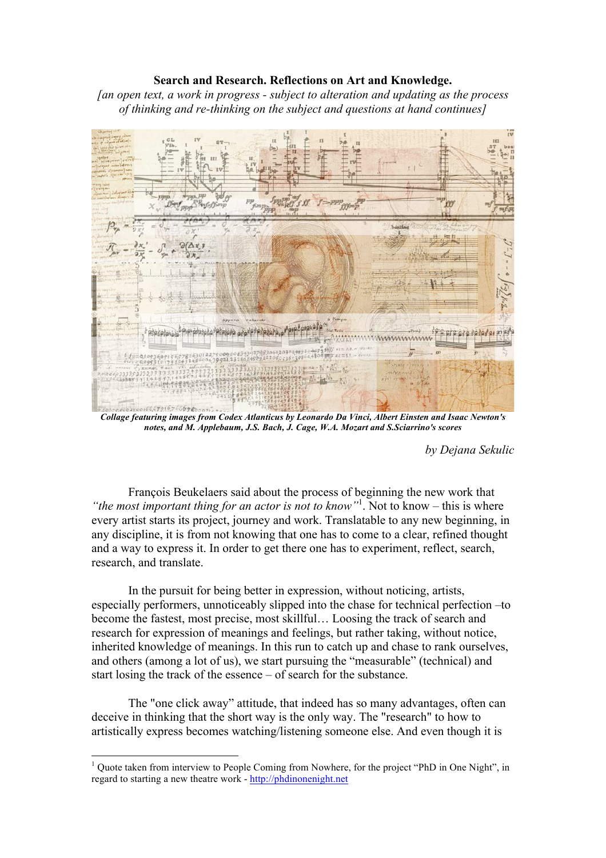## **Search and Research. Reflections on Art and Knowledge.**

*[an open text, a work in progress - subject to alteration and updating as the process of thinking and re-thinking on the subject and questions at hand continues]*



*Collage featuring images from Codex Atlanticus by Leonardo Da Vinci, Albert Einsten and Isaac Newton's notes, and M. Applebaum, J.S. Bach, J. Cage, W.A. Mozart and S.Sciarrino's scores*

*by Dejana Sekulic*

François Beukelaers said about the process of beginning the new work that *"the most important thing for an actor is not to know"*<sup>1</sup> . Not to know – this is where every artist starts its project, journey and work. Translatable to any new beginning, in any discipline, it is from not knowing that one has to come to a clear, refined thought and a way to express it. In order to get there one has to experiment, reflect, search, research, and translate.

In the pursuit for being better in expression, without noticing, artists, especially performers, unnoticeably slipped into the chase for technical perfection –to become the fastest, most precise, most skillful… Loosing the track of search and research for expression of meanings and feelings, but rather taking, without notice, inherited knowledge of meanings. In this run to catch up and chase to rank ourselves, and others (among a lot of us), we start pursuing the "measurable" (technical) and start losing the track of the essence – of search for the substance.

The "one click away" attitude, that indeed has so many advantages, often can deceive in thinking that the short way is the only way. The "research" to how to artistically express becomes watching/listening someone else. And even though it is

<sup>&</sup>lt;sup>1</sup> Quote taken from interview to People Coming from Nowhere, for the project "PhD in One Night", in regard to starting a new theatre work - http://phdinonenight.net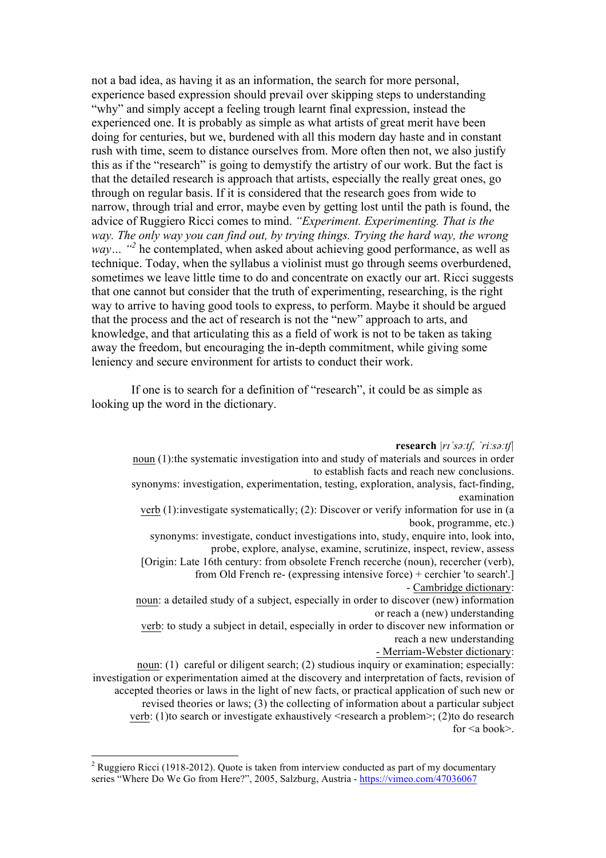not a bad idea, as having it as an information, the search for more personal, experience based expression should prevail over skipping steps to understanding "why" and simply accept a feeling trough learnt final expression, instead the experienced one. It is probably as simple as what artists of great merit have been doing for centuries, but we, burdened with all this modern day haste and in constant rush with time, seem to distance ourselves from. More often then not, we also justify this as if the "research" is going to demystify the artistry of our work. But the fact is that the detailed research is approach that artists, especially the really great ones, go through on regular basis. If it is considered that the research goes from wide to narrow, through trial and error, maybe even by getting lost until the path is found, the advice of Ruggiero Ricci comes to mind. *"Experiment. Experimenting. That is the way. The only way you can find out, by trying things. Trying the hard way, the wrong way* ... "<sup>2</sup> he contemplated, when asked about achieving good performance, as well as technique. Today, when the syllabus a violinist must go through seems overburdened, sometimes we leave little time to do and concentrate on exactly our art. Ricci suggests that one cannot but consider that the truth of experimenting, researching, is the right way to arrive to having good tools to express, to perform. Maybe it should be argued that the process and the act of research is not the "new" approach to arts, and knowledge, and that articulating this as a field of work is not to be taken as taking away the freedom, but encouraging the in-depth commitment, while giving some leniency and secure environment for artists to conduct their work.

If one is to search for a definition of "research", it could be as simple as looking up the word in the dictionary.

**research** *|rɪˈsəːtʃ, ˈriːsəːtʃ|*

noun (1):the systematic investigation into and study of materials and sources in order to establish facts and reach new conclusions.

synonyms: investigation, experimentation, testing, exploration, analysis, fact-finding, examination

verb (1):investigate systematically; (2): Discover or verify information for use in (a book, programme, etc.)

synonyms: investigate, conduct investigations into, study, enquire into, look into, probe, explore, analyse, examine, scrutinize, inspect, review, assess

[Origin: Late 16th century: from obsolete French recerche (noun), recercher (verb), from Old French re- (expressing intensive force) + cerchier 'to search'.]

- Cambridge dictionary:

noun: a detailed study of a subject, especially in order to discover (new) information or reach a (new) understanding

verb: to study a subject in detail, especially in order to discover new information or reach a new understanding

## - Merriam-Webster dictionary:

noun: (1) careful or diligent search; (2) studious inquiry or examination; especially: investigation or experimentation aimed at the discovery and interpretation of facts, revision of accepted theories or laws in the light of new facts, or practical application of such new or revised theories or laws; (3) the collecting of information about a particular subject verb: (1)to search or investigate exhaustively <research a problem>; (2)to do research for  $\leq a$  book $\geq$ .

<sup>&</sup>lt;sup>2</sup> Ruggiero Ricci (1918-2012). Quote is taken from interview conducted as part of my documentary series "Where Do We Go from Here?", 2005, Salzburg, Austria - https://vimeo.com/47036067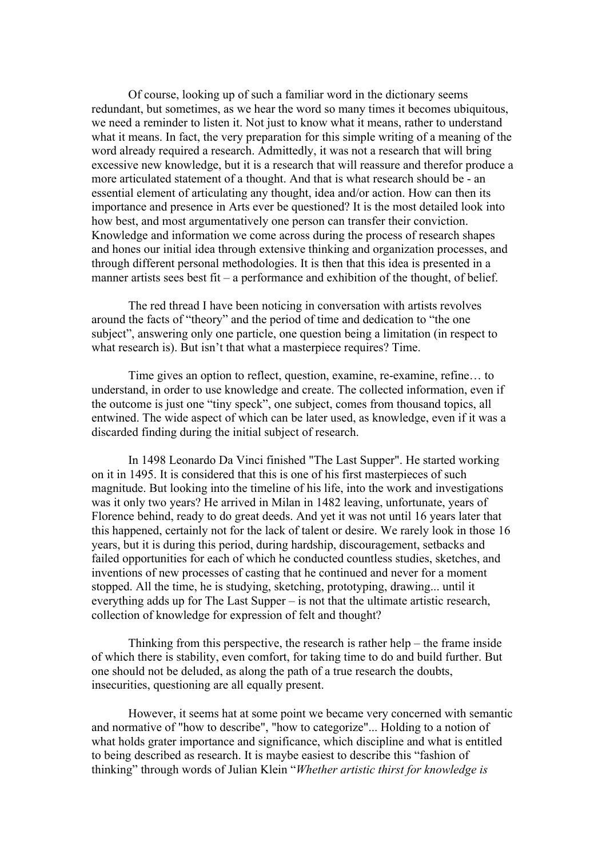Of course, looking up of such a familiar word in the dictionary seems redundant, but sometimes, as we hear the word so many times it becomes ubiquitous, we need a reminder to listen it. Not just to know what it means, rather to understand what it means. In fact, the very preparation for this simple writing of a meaning of the word already required a research. Admittedly, it was not a research that will bring excessive new knowledge, but it is a research that will reassure and therefor produce a more articulated statement of a thought. And that is what research should be - an essential element of articulating any thought, idea and/or action. How can then its importance and presence in Arts ever be questioned? It is the most detailed look into how best, and most argumentatively one person can transfer their conviction. Knowledge and information we come across during the process of research shapes and hones our initial idea through extensive thinking and organization processes, and through different personal methodologies. It is then that this idea is presented in a manner artists sees best fit – a performance and exhibition of the thought, of belief.

The red thread I have been noticing in conversation with artists revolves around the facts of "theory" and the period of time and dedication to "the one subject", answering only one particle, one question being a limitation (in respect to what research is). But isn't that what a masterpiece requires? Time.

Time gives an option to reflect, question, examine, re-examine, refine… to understand, in order to use knowledge and create. The collected information, even if the outcome is just one "tiny speck", one subject, comes from thousand topics, all entwined. The wide aspect of which can be later used, as knowledge, even if it was a discarded finding during the initial subject of research.

In 1498 Leonardo Da Vinci finished "The Last Supper". He started working on it in 1495. It is considered that this is one of his first masterpieces of such magnitude. But looking into the timeline of his life, into the work and investigations was it only two years? He arrived in Milan in 1482 leaving, unfortunate, years of Florence behind, ready to do great deeds. And yet it was not until 16 years later that this happened, certainly not for the lack of talent or desire. We rarely look in those 16 years, but it is during this period, during hardship, discouragement, setbacks and failed opportunities for each of which he conducted countless studies, sketches, and inventions of new processes of casting that he continued and never for a moment stopped. All the time, he is studying, sketching, prototyping, drawing... until it everything adds up for The Last Supper – is not that the ultimate artistic research, collection of knowledge for expression of felt and thought?

Thinking from this perspective, the research is rather help – the frame inside of which there is stability, even comfort, for taking time to do and build further. But one should not be deluded, as along the path of a true research the doubts, insecurities, questioning are all equally present.

However, it seems hat at some point we became very concerned with semantic and normative of "how to describe", "how to categorize"... Holding to a notion of what holds grater importance and significance, which discipline and what is entitled to being described as research. It is maybe easiest to describe this "fashion of thinking" through words of Julian Klein "*Whether artistic thirst for knowledge is*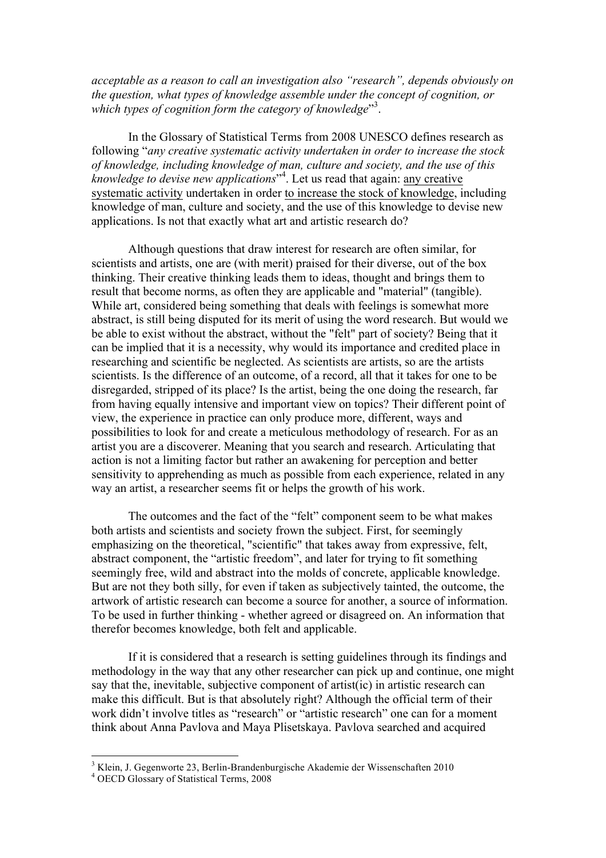*acceptable as a reason to call an investigation also "research", depends obviously on the question, what types of knowledge assemble under the concept of cognition, or*  which types of cognition form the category of knowledge"<sup>3</sup>.

In the Glossary of Statistical Terms from 2008 UNESCO defines research as following "*any creative systematic activity undertaken in order to increase the stock of knowledge, including knowledge of man, culture and society, and the use of this knowledge to devise new applications*" 4 . Let us read that again: any creative systematic activity undertaken in order to increase the stock of knowledge, including knowledge of man, culture and society, and the use of this knowledge to devise new applications. Is not that exactly what art and artistic research do?

Although questions that draw interest for research are often similar, for scientists and artists, one are (with merit) praised for their diverse, out of the box thinking. Their creative thinking leads them to ideas, thought and brings them to result that become norms, as often they are applicable and "material" (tangible). While art, considered being something that deals with feelings is somewhat more abstract, is still being disputed for its merit of using the word research. But would we be able to exist without the abstract, without the "felt" part of society? Being that it can be implied that it is a necessity, why would its importance and credited place in researching and scientific be neglected. As scientists are artists, so are the artists scientists. Is the difference of an outcome, of a record, all that it takes for one to be disregarded, stripped of its place? Is the artist, being the one doing the research, far from having equally intensive and important view on topics? Their different point of view, the experience in practice can only produce more, different, ways and possibilities to look for and create a meticulous methodology of research. For as an artist you are a discoverer. Meaning that you search and research. Articulating that action is not a limiting factor but rather an awakening for perception and better sensitivity to apprehending as much as possible from each experience, related in any way an artist, a researcher seems fit or helps the growth of his work.

The outcomes and the fact of the "felt" component seem to be what makes both artists and scientists and society frown the subject. First, for seemingly emphasizing on the theoretical, "scientific" that takes away from expressive, felt, abstract component, the "artistic freedom", and later for trying to fit something seemingly free, wild and abstract into the molds of concrete, applicable knowledge. But are not they both silly, for even if taken as subjectively tainted, the outcome, the artwork of artistic research can become a source for another, a source of information. To be used in further thinking - whether agreed or disagreed on. An information that therefor becomes knowledge, both felt and applicable.

If it is considered that a research is setting guidelines through its findings and methodology in the way that any other researcher can pick up and continue, one might say that the, inevitable, subjective component of artist(ic) in artistic research can make this difficult. But is that absolutely right? Although the official term of their work didn't involve titles as "research" or "artistic research" one can for a moment think about Anna Pavlova and Maya Plisetskaya. Pavlova searched and acquired

 $3$  Klein, J. Gegenworte 23, Berlin-Brandenburgische Akademie der Wissenschaften 2010  $4$  OECD Glossary of Statistical Terms, 2008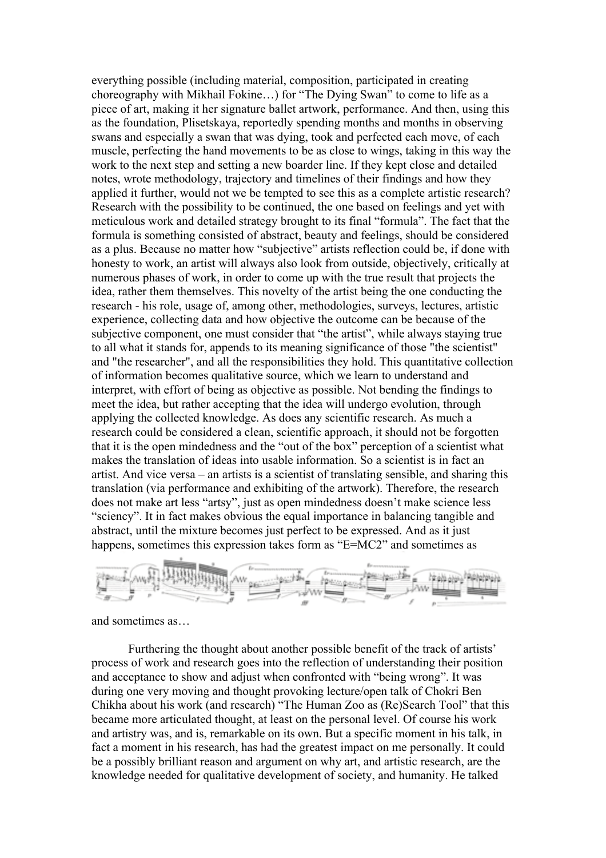everything possible (including material, composition, participated in creating choreography with Mikhail Fokine…) for "The Dying Swan" to come to life as a piece of art, making it her signature ballet artwork, performance. And then, using this as the foundation, Plisetskaya, reportedly spending months and months in observing swans and especially a swan that was dying, took and perfected each move, of each muscle, perfecting the hand movements to be as close to wings, taking in this way the work to the next step and setting a new boarder line. If they kept close and detailed notes, wrote methodology, trajectory and timelines of their findings and how they applied it further, would not we be tempted to see this as a complete artistic research? Research with the possibility to be continued, the one based on feelings and yet with meticulous work and detailed strategy brought to its final "formula". The fact that the formula is something consisted of abstract, beauty and feelings, should be considered as a plus. Because no matter how "subjective" artists reflection could be, if done with honesty to work, an artist will always also look from outside, objectively, critically at numerous phases of work, in order to come up with the true result that projects the idea, rather them themselves. This novelty of the artist being the one conducting the research - his role, usage of, among other, methodologies, surveys, lectures, artistic experience, collecting data and how objective the outcome can be because of the subjective component, one must consider that "the artist", while always staying true to all what it stands for, appends to its meaning significance of those "the scientist" and "the researcher", and all the responsibilities they hold. This quantitative collection of information becomes qualitative source, which we learn to understand and interpret, with effort of being as objective as possible. Not bending the findings to meet the idea, but rather accepting that the idea will undergo evolution, through applying the collected knowledge. As does any scientific research. As much a research could be considered a clean, scientific approach, it should not be forgotten that it is the open mindedness and the "out of the box" perception of a scientist what makes the translation of ideas into usable information. So a scientist is in fact an artist. And vice versa – an artists is a scientist of translating sensible, and sharing this translation (via performance and exhibiting of the artwork). Therefore, the research does not make art less "artsy", just as open mindedness doesn't make science less "sciency". It in fact makes obvious the equal importance in balancing tangible and abstract, until the mixture becomes just perfect to be expressed. And as it just happens, sometimes this expression takes form as "E=MC2" and sometimes as



and sometimes as…

Furthering the thought about another possible benefit of the track of artists' process of work and research goes into the reflection of understanding their position and acceptance to show and adjust when confronted with "being wrong". It was during one very moving and thought provoking lecture/open talk of Chokri Ben Chikha about his work (and research) "The Human Zoo as (Re)Search Tool" that this became more articulated thought, at least on the personal level. Of course his work and artistry was, and is, remarkable on its own. But a specific moment in his talk, in fact a moment in his research, has had the greatest impact on me personally. It could be a possibly brilliant reason and argument on why art, and artistic research, are the knowledge needed for qualitative development of society, and humanity. He talked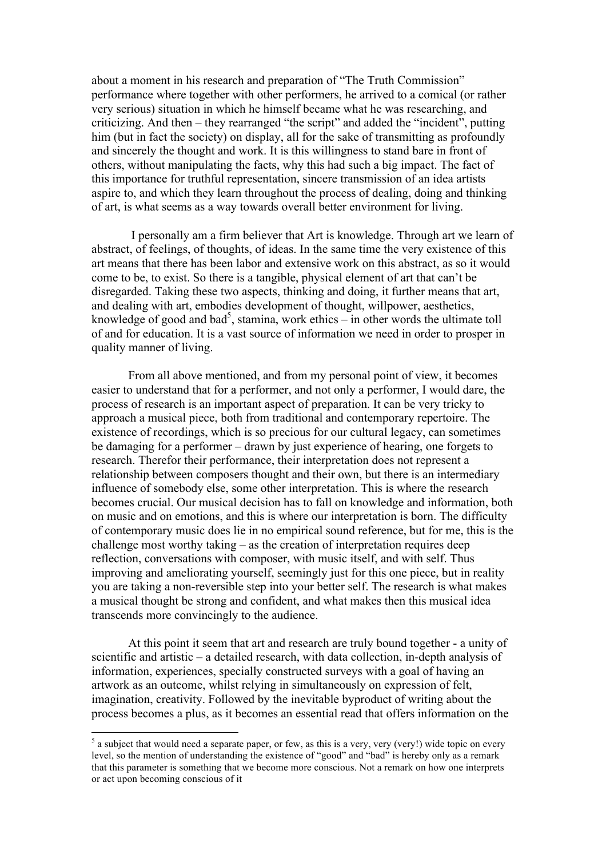about a moment in his research and preparation of "The Truth Commission" performance where together with other performers, he arrived to a comical (or rather very serious) situation in which he himself became what he was researching, and criticizing. And then – they rearranged "the script" and added the "incident", putting him (but in fact the society) on display, all for the sake of transmitting as profoundly and sincerely the thought and work. It is this willingness to stand bare in front of others, without manipulating the facts, why this had such a big impact. The fact of this importance for truthful representation, sincere transmission of an idea artists aspire to, and which they learn throughout the process of dealing, doing and thinking of art, is what seems as a way towards overall better environment for living.

I personally am a firm believer that Art is knowledge. Through art we learn of abstract, of feelings, of thoughts, of ideas. In the same time the very existence of this art means that there has been labor and extensive work on this abstract, as so it would come to be, to exist. So there is a tangible, physical element of art that can't be disregarded. Taking these two aspects, thinking and doing, it further means that art, and dealing with art, embodies development of thought, willpower, aesthetics, knowledge of good and bad<sup>5</sup>, stamina, work ethics  $-$  in other words the ultimate toll of and for education. It is a vast source of information we need in order to prosper in quality manner of living.

From all above mentioned, and from my personal point of view, it becomes easier to understand that for a performer, and not only a performer, I would dare, the process of research is an important aspect of preparation. It can be very tricky to approach a musical piece, both from traditional and contemporary repertoire. The existence of recordings, which is so precious for our cultural legacy, can sometimes be damaging for a performer – drawn by just experience of hearing, one forgets to research. Therefor their performance, their interpretation does not represent a relationship between composers thought and their own, but there is an intermediary influence of somebody else, some other interpretation. This is where the research becomes crucial. Our musical decision has to fall on knowledge and information, both on music and on emotions, and this is where our interpretation is born. The difficulty of contemporary music does lie in no empirical sound reference, but for me, this is the challenge most worthy taking – as the creation of interpretation requires deep reflection, conversations with composer, with music itself, and with self. Thus improving and ameliorating yourself, seemingly just for this one piece, but in reality you are taking a non-reversible step into your better self. The research is what makes a musical thought be strong and confident, and what makes then this musical idea transcends more convincingly to the audience.

At this point it seem that art and research are truly bound together - a unity of scientific and artistic – a detailed research, with data collection, in-depth analysis of information, experiences, specially constructed surveys with a goal of having an artwork as an outcome, whilst relying in simultaneously on expression of felt, imagination, creativity. Followed by the inevitable byproduct of writing about the process becomes a plus, as it becomes an essential read that offers information on the

 $<sup>5</sup>$  a subject that would need a separate paper, or few, as this is a very, very (very!) wide topic on every</sup> level, so the mention of understanding the existence of "good" and "bad" is hereby only as a remark that this parameter is something that we become more conscious. Not a remark on how one interprets or act upon becoming conscious of it